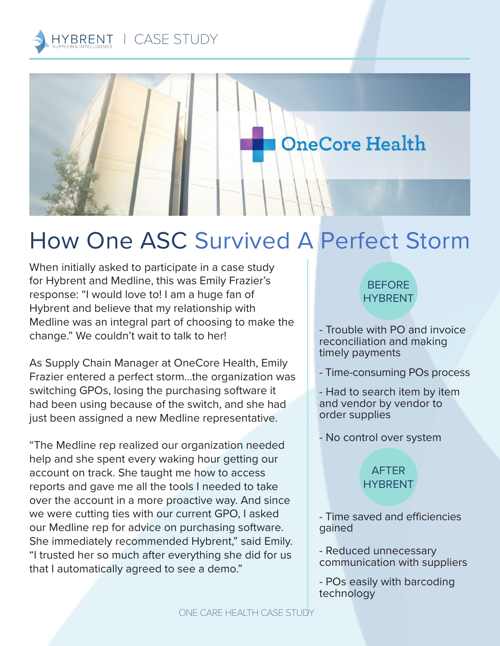



# How One ASC Survived A Perfect Storm

When initially asked to participate in a case study for Hybrent and Medline, this was Emily Frazier's response: "I would love to! I am a huge fan of Hybrent and believe that my relationship with Medline was an integral part of choosing to make the change." We couldn't wait to talk to her!

As Supply Chain Manager at OneCore Health, Emily Frazier entered a perfect storm…the organization was switching GPOs, losing the purchasing software it had been using because of the switch, and she had just been assigned a new Medline representative.

"The Medline rep realized our organization needed help and she spent every waking hour getting our account on track. She taught me how to access reports and gave me all the tools I needed to take over the account in a more proactive way. And since we were cutting ties with our current GPO, I asked our Medline rep for advice on purchasing software. She immediately recommended Hybrent," said Emily. "I trusted her so much after everything she did for us that I automatically agreed to see a demo."

#### **BEFORE** HYBRENT

- Trouble with PO and invoice reconciliation and making timely payments

- Time-consuming POs process

- Had to search item by item and vendor by vendor to order supplies

- No control over system

### AFTER **HYBRENT**

- Time saved and efficiencies gained

- Reduced unnecessary communication with suppliers

- POs easily with barcoding technology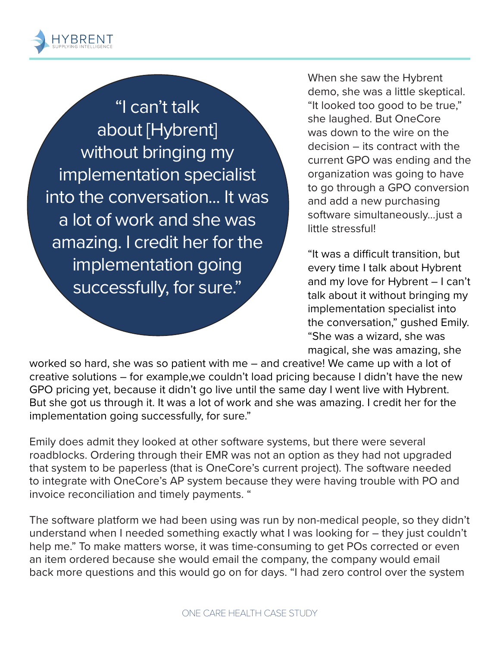

"I can't talk about [Hybrent] without bringing my implementation specialist into the conversation... It was a lot of work and she was amazing. I credit her for the implementation going successfully, for sure."

When she saw the Hybrent demo, she was a little skeptical. "It looked too good to be true," she laughed. But OneCore was down to the wire on the decision – its contract with the current GPO was ending and the organization was going to have to go through a GPO conversion and add a new purchasing software simultaneously…just a little stressful!

"It was a difficult transition, but every time I talk about Hybrent and my love for Hybrent – I can't talk about it without bringing my implementation specialist into the conversation," gushed Emily. "She was a wizard, she was magical, she was amazing, she

worked so hard, she was so patient with me – and creative! We came up with a lot of creative solutions – for example,we couldn't load pricing because I didn't have the new GPO pricing yet, because it didn't go live until the same day I went live with Hybrent. But she got us through it. It was a lot of work and she was amazing. I credit her for the implementation going successfully, for sure."

Emily does admit they looked at other software systems, but there were several roadblocks. Ordering through their EMR was not an option as they had not upgraded that system to be paperless (that is OneCore's current project). The software needed to integrate with OneCore's AP system because they were having trouble with PO and invoice reconciliation and timely payments. "

The software platform we had been using was run by non-medical people, so they didn't understand when I needed something exactly what I was looking for – they just couldn't help me." To make matters worse, it was time-consuming to get POs corrected or even an item ordered because she would email the company, the company would email back more questions and this would go on for days. "I had zero control over the system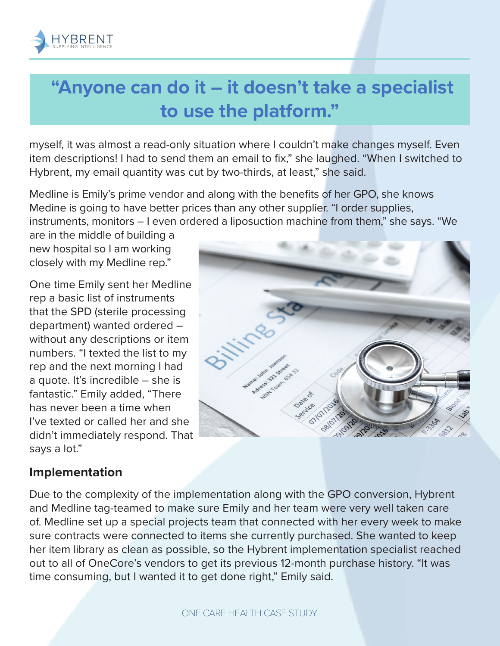

# **"Anyone can do it – it doesn't take a specialist to use the platform."**

myself, it was almost a read-only situation where I couldn't make changes myself. Even item descriptions! I had to send them an email to fix," she laughed. "When I switched to Hybrent, my email quantity was cut by two-thirds, at least," she said.

Medline is Emily's prime vendor and along with the benefits of her GPO, she knows Medine is going to have better prices than any other supplier. "I order supplies, instruments, monitors – I even ordered a liposuction machine from them," she says. "We

are in the middle of building a new hospital so I am working closely with my Medline rep."

One time Emily sent her Medline rep a basic list of instruments that the SPD (sterile processing department) wanted ordered – without any descriptions or item numbers. "I texted the list to my rep and the next morning I had a quote. It's incredible – she is fantastic." Emily added, "There has never been a time when I've texted or called her and she didn't immediately respond. That says a lot."



### **Implementation**

Due to the complexity of the implementation along with the GPO conversion, Hybrent and Medline tag-teamed to make sure Emily and her team were very well taken care of. Medline set up a special projects team that connected with her every week to make sure contracts were connected to items she currently purchased. She wanted to keep her item library as clean as possible, so the Hybrent implementation specialist reached out to all of OneCore's vendors to get its previous 12-month purchase history. "It was time consuming, but I wanted it to get done right," Emily said.